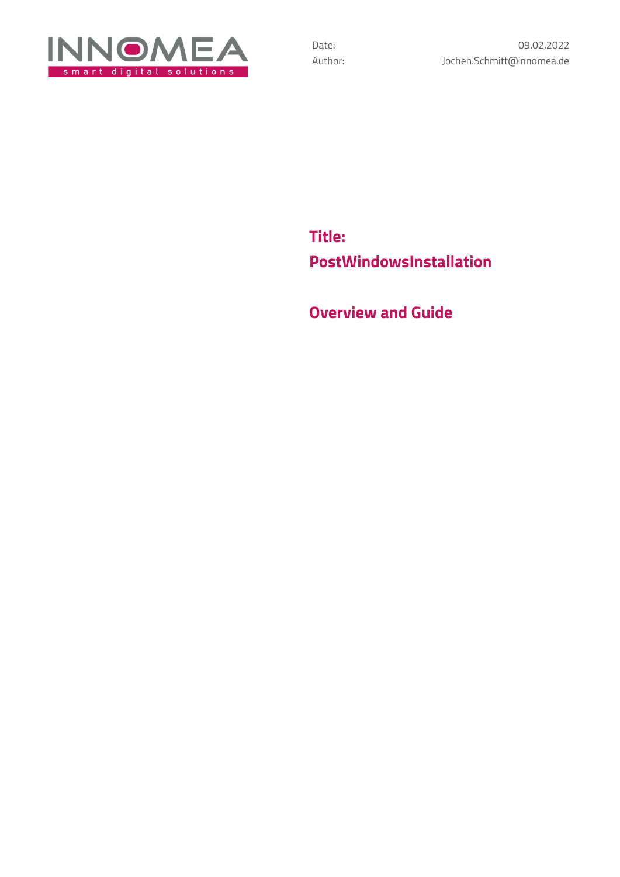

**Title: PostWindowsInstallation**

**Overview and Guide**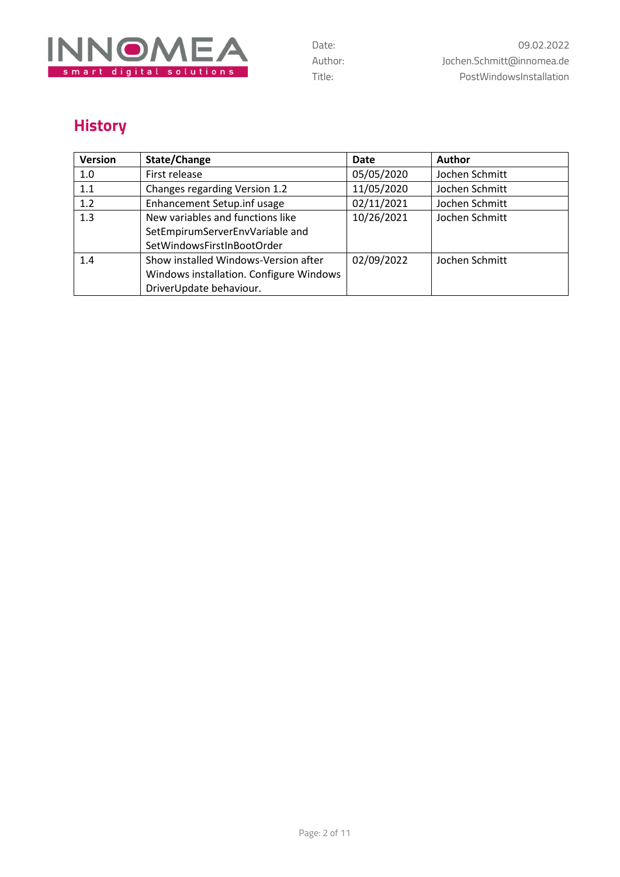

# **History**

| Version | State/Change                            | <b>Date</b> | <b>Author</b>  |
|---------|-----------------------------------------|-------------|----------------|
| 1.0     | First release                           | 05/05/2020  | Jochen Schmitt |
| 1.1     | Changes regarding Version 1.2           | 11/05/2020  | Jochen Schmitt |
| 1.2     | Enhancement Setup.inf usage             | 02/11/2021  | Jochen Schmitt |
| 1.3     | New variables and functions like        | 10/26/2021  | Jochen Schmitt |
|         | SetEmpirumServerEnvVariable and         |             |                |
|         | SetWindowsFirstInBootOrder              |             |                |
| 1.4     | Show installed Windows-Version after    | 02/09/2022  | Jochen Schmitt |
|         | Windows installation. Configure Windows |             |                |
|         | DriverUpdate behaviour.                 |             |                |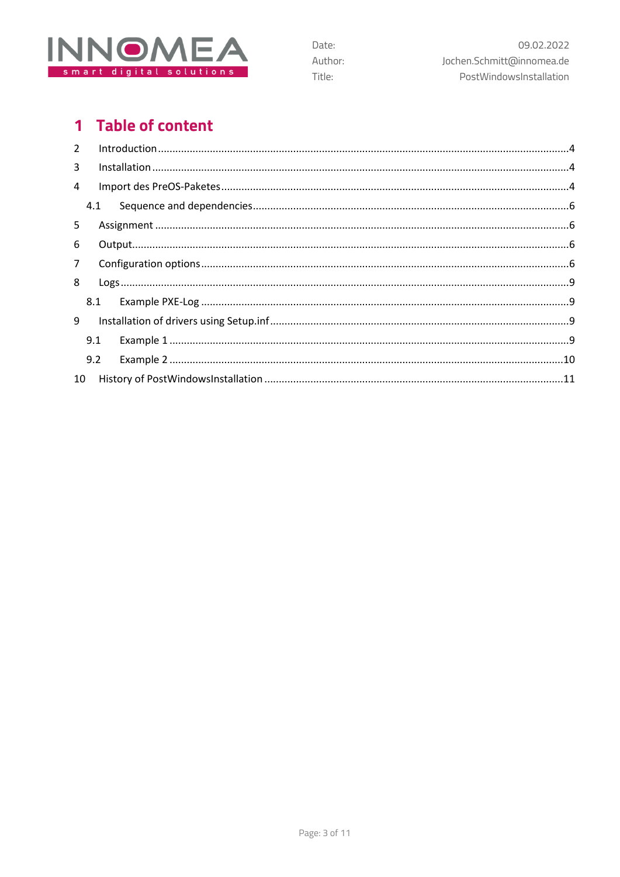

## 1 Table of content

| $2^{\circ}$    |                 |  |
|----------------|-----------------|--|
| 3              |                 |  |
| 4              |                 |  |
|                | 4.1             |  |
| 5              |                 |  |
| 6              |                 |  |
| 7 <sup>7</sup> |                 |  |
| 8              |                 |  |
|                |                 |  |
| 9              |                 |  |
|                | 9.1             |  |
|                | 9.2             |  |
|                | 10 <sup>1</sup> |  |

Date:

Title:

Author: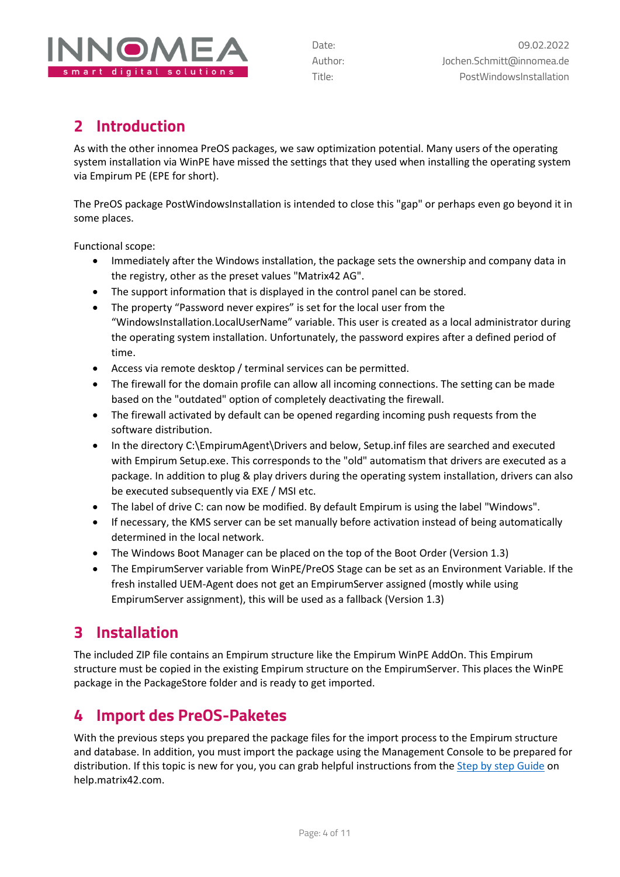

## <span id="page-3-0"></span>**2 Introduction**

As with the other innomea PreOS packages, we saw optimization potential. Many users of the operating system installation via WinPE have missed the settings that they used when installing the operating system via Empirum PE (EPE for short).

The PreOS package PostWindowsInstallation is intended to close this "gap" or perhaps even go beyond it in some places.

Functional scope:

- Immediately after the Windows installation, the package sets the ownership and company data in the registry, other as the preset values "Matrix42 AG".
- The support information that is displayed in the control panel can be stored.
- The property "Password never expires" is set for the local user from the "WindowsInstallation.LocalUserName" variable. This user is created as a local administrator during the operating system installation. Unfortunately, the password expires after a defined period of time.
- Access via remote desktop / terminal services can be permitted.
- The firewall for the domain profile can allow all incoming connections. The setting can be made based on the "outdated" option of completely deactivating the firewall.
- The firewall activated by default can be opened regarding incoming push requests from the software distribution.
- In the directory C:\EmpirumAgent\Drivers and below, Setup.inf files are searched and executed with Empirum Setup.exe. This corresponds to the "old" automatism that drivers are executed as a package. In addition to plug & play drivers during the operating system installation, drivers can also be executed subsequently via EXE / MSI etc.
- The label of drive C: can now be modified. By default Empirum is using the label "Windows".
- If necessary, the KMS server can be set manually before activation instead of being automatically determined in the local network.
- The Windows Boot Manager can be placed on the top of the Boot Order (Version 1.3)
- The EmpirumServer variable from WinPE/PreOS Stage can be set as an Environment Variable. If the fresh installed UEM-Agent does not get an EmpirumServer assigned (mostly while using EmpirumServer assignment), this will be used as a fallback (Version 1.3)

## <span id="page-3-1"></span>**3 Installation**

The included ZIP file contains an Empirum structure like the Empirum WinPE AddOn. This Empirum structure must be copied in the existing Empirum structure on the EmpirumServer. This places the WinPE package in the PackageStore folder and is ready to get imported.

## <span id="page-3-2"></span>**4 Import des PreOS-Paketes**

With the previous steps you prepared the package files for the import process to the Empirum structure and database. In addition, you must import the package using the Management Console to be prepared for distribution. If this topic is new for you, you can grab helpful instructions from the [Step by step Guide](https://help.matrix42.com/010_SUEM/020_UEM/20Client_Management/OS_Deployment_Guide/WinPE_-_HowTo/2_Step_by_step_guide) on help.matrix42.com.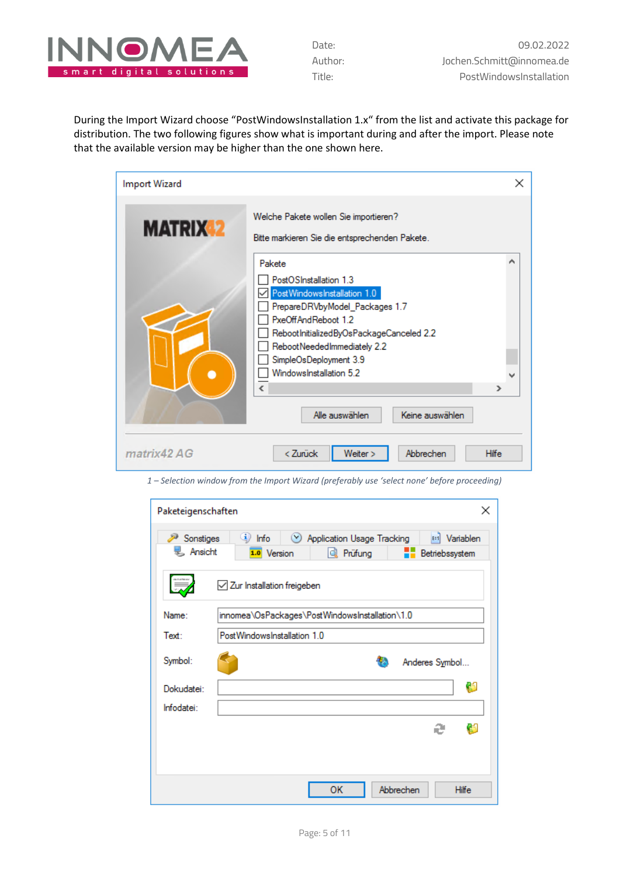

During the Import Wizard choose "PostWindowsInstallation 1.x" from the list and activate this package for distribution. The two following figures show what is important during and after the import. Please note that the available version may be higher than the one shown here.

| <b>Import Wizard</b> |                                                                                                                                                                                                                                                                                                                                     | ×            |
|----------------------|-------------------------------------------------------------------------------------------------------------------------------------------------------------------------------------------------------------------------------------------------------------------------------------------------------------------------------------|--------------|
| <b>MATRIX 2</b>      | Welche Pakete wollen Sie importieren?<br>Bitte markieren Sie die entsprechenden Pakete.                                                                                                                                                                                                                                             |              |
|                      | Pakete<br>PostOSInstallation 1.3<br>PostWindowsInstallation 1.0<br>PrepareDRVbyModel_Packages 1.7<br>PxeOffAndReboot 1.2<br>RebootInitializedByOsPackageCanceled 2.2<br>RebootNeededImmediately 2.2<br>SimpleOsDeployment 3.9<br>WindowsInstallation 5.2<br>$\left\langle \cdot \right\rangle$<br>Alle auswählen<br>Keine auswählen | ⋗            |
| matrix42 AG          | < Zurück<br>Abbrechen<br>Weiter >                                                                                                                                                                                                                                                                                                   | <b>Hilfe</b> |

*1 – Selection window from the Import Wizard (preferably use 'select none' before proceeding)* 

| Paketeigenschaften   | $\times$                                                                                                                      |
|----------------------|-------------------------------------------------------------------------------------------------------------------------------|
| Sonstiges<br>Ansicht | <sup>(i)</sup> Info<br><b>E-1</b> Variablen<br>Application Usage Tracking<br>1.0 Version<br><br>्री Prüfung<br>Betriebssystem |
|                      | Zur Installation freigeben                                                                                                    |
| Name:                | innomea\OsPackages\PostWindowsInstallation\1.0                                                                                |
| Text:                | PostWindowsInstallation 1.0                                                                                                   |
| Symbol:              | Anderes Symbol                                                                                                                |
| Dokudatei:           | Ø                                                                                                                             |
| Infodatei:           |                                                                                                                               |
|                      | Ø<br>æ                                                                                                                        |
|                      |                                                                                                                               |
|                      |                                                                                                                               |
|                      | Abbrechen<br>ок<br><b>Hilfe</b>                                                                                               |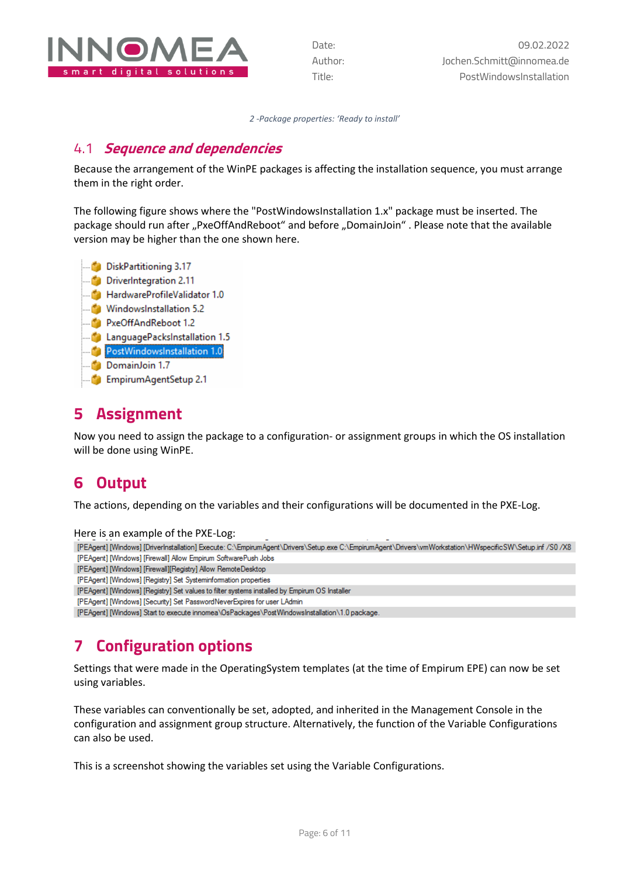

*2 -Package properties: 'Ready to install'*

#### <span id="page-5-0"></span>4.1 **Sequence and dependencies**

Because the arrangement of the WinPE packages is affecting the installation sequence, you must arrange them in the right order.

The following figure shows where the "PostWindowsInstallation 1.x" package must be inserted. The package should run after "PxeOffAndReboot" and before "DomainJoin" . Please note that the available version may be higher than the one shown here.



## <span id="page-5-1"></span>**5 Assignment**

Now you need to assign the package to a configuration- or assignment groups in which the OS installation will be done using WinPE.

## <span id="page-5-2"></span>**6 Output**

The actions, depending on the variables and their configurations will be documented in the PXE-Log.

Here is an example of the PXE-Log:

[PEAgent] [Windows] [DriverInstallation] Execute: C:\EmpirumAgent\Drivers\Setup.exe C:\EmpirumAgent\Drivers\wmWorkstation\HWspecificSW\Setup.inf /S0 /X8 [PEAgent] [Windows] [Firewall] Allow Empirum SoftwarePush Jobs

- [PEAgent] [Windows] [Firewall][Registry] Allow RemoteDesktop
- [PEAgent] [Windows] [Registry] Set Systeminformation properties
- [PEAgent] [Windows] [Registry] Set values to filter systems installed by Empirum OS Installer
- [PEAgent] [Windows] [Security] Set PasswordNeverExpires for user LAdmin

<span id="page-5-3"></span>[PEAgent] [Windows] Start to execute innomea\OsPackages\PostWindowsInstallation\1.0 package.

# **7 Configuration options**

Settings that were made in the OperatingSystem templates (at the time of Empirum EPE) can now be set using variables.

These variables can conventionally be set, adopted, and inherited in the Management Console in the configuration and assignment group structure. Alternatively, the function of the Variable Configurations can also be used.

This is a screenshot showing the variables set using the Variable Configurations.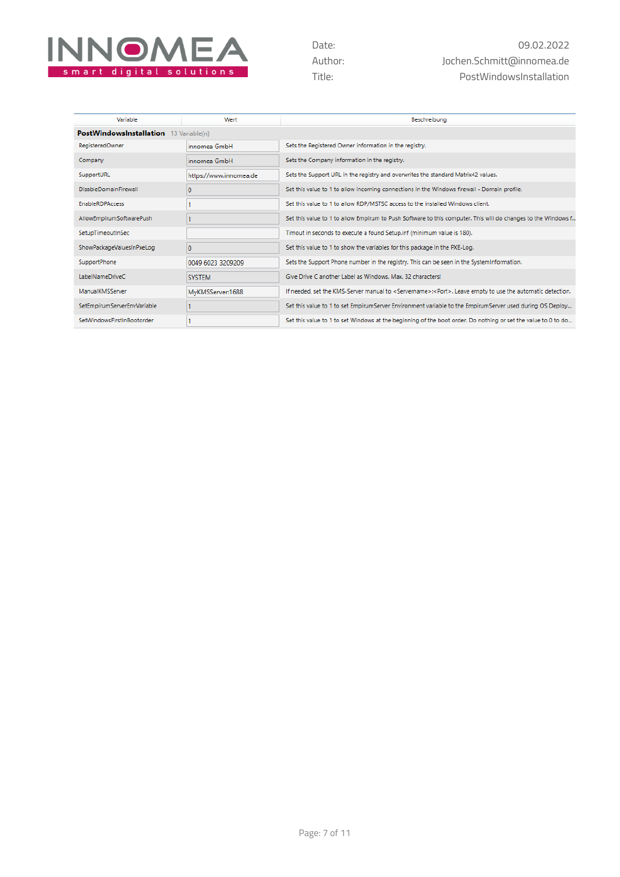

| Variable                               | Wert                   | Beschreibung                                                                                                                 |
|----------------------------------------|------------------------|------------------------------------------------------------------------------------------------------------------------------|
| PostWindowsInstallation 13 Variable(n) |                        |                                                                                                                              |
| <b>RegisteredOwner</b>                 | innomea GmbH           | Sets the Registered Owner information in the registry.                                                                       |
| Company                                | innomea GmbH           | Sets the Company information in the registry.                                                                                |
| SupportURL                             | https://www.innomea.de | Sets the Support URL in the registry and overwrites the standard Matrix42 values.                                            |
| <b>DisableDomainFirewall</b>           | o                      | Set this value to 1 to allow incoming connections in the Windows firewall - Domain profile.                                  |
| <b>EnableRDPAccess</b>                 |                        | Set this value to 1 to allow RDP/MSTSC access to the installed Windows client.                                               |
| AllowEmpirumSoftwarePush               |                        | Set this value to 1 to allow Empirum to Push Software to this computer. This will do changes to the Windows f                |
| SetupTimeoutInSec                      |                        | Timout in seconds to execute a found Setup.inf (minimum value is 180).                                                       |
| ShowPackageValuesInPxeLog              | $\Omega$               | Set this value to 1 to show the variables for this package in the PXE-Log.                                                   |
| SupportPhone                           | 0049 6023 3209209      | Sets the Support Phone number in the registry. This can be seen in the SystemInformation.                                    |
| LabelNameDriveC                        | <b>SYSTEM</b>          | Give Drive C another Label as Windows, Max. 32 characters!                                                                   |
| ManualKMSServer                        | MyKMSServer:1688       | If needed, set the KMS-Server manual to <servername>:<port>. Leave empty to use the automatic detection.</port></servername> |
| SetEmpirumServerEnvVariable            |                        | Set this value to 1 to set EmpirumServer Environment variable to the EmpirumServer used during OS Deploy                     |
| SetWindowsFirstInBootorder             |                        | Set this value to 1 to set Windows at the beginning of the boot order. Do nothing or set the value to 0 to do                |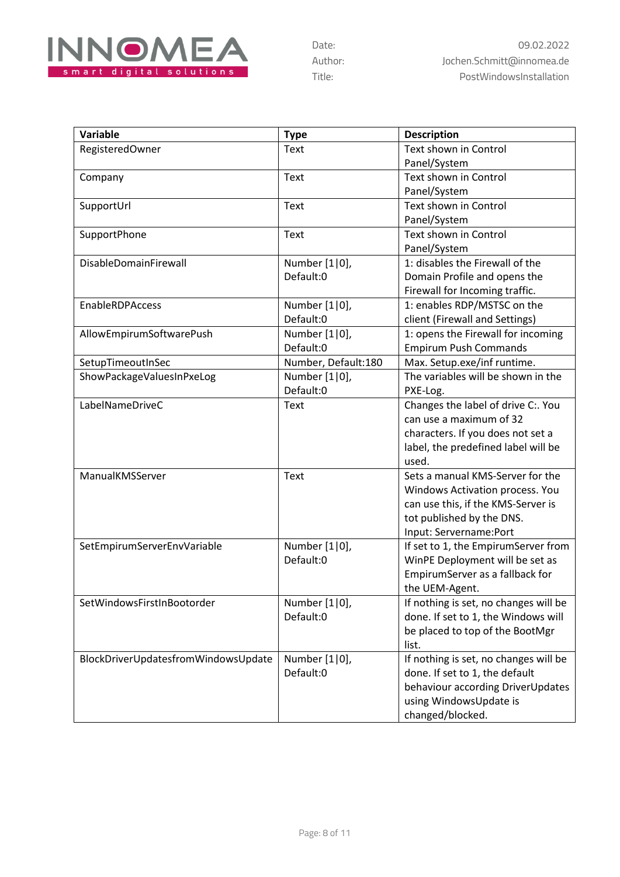

| Variable                            | <b>Type</b>         | <b>Description</b>                    |
|-------------------------------------|---------------------|---------------------------------------|
| RegisteredOwner                     | Text                | Text shown in Control                 |
|                                     |                     | Panel/System                          |
| Company                             | Text                | Text shown in Control                 |
|                                     |                     | Panel/System                          |
| SupportUrl                          | Text                | Text shown in Control                 |
|                                     |                     | Panel/System                          |
| SupportPhone                        | Text                | Text shown in Control                 |
|                                     |                     | Panel/System                          |
| DisableDomainFirewall               | Number [1 0],       | 1: disables the Firewall of the       |
|                                     | Default:0           | Domain Profile and opens the          |
|                                     |                     | Firewall for Incoming traffic.        |
| <b>EnableRDPAccess</b>              | Number [1 0],       | 1: enables RDP/MSTSC on the           |
|                                     | Default:0           | client (Firewall and Settings)        |
| AllowEmpirumSoftwarePush            | Number [1 0],       | 1: opens the Firewall for incoming    |
|                                     | Default:0           | <b>Empirum Push Commands</b>          |
| SetupTimeoutInSec                   | Number, Default:180 | Max. Setup.exe/inf runtime.           |
| ShowPackageValuesInPxeLog           | Number [1 0],       | The variables will be shown in the    |
|                                     | Default:0           | PXE-Log.                              |
| LabelNameDriveC                     | Text                | Changes the label of drive C:. You    |
|                                     |                     | can use a maximum of 32               |
|                                     |                     | characters. If you does not set a     |
|                                     |                     | label, the predefined label will be   |
|                                     |                     | used.                                 |
| ManualKMSServer                     | Text                | Sets a manual KMS-Server for the      |
|                                     |                     | Windows Activation process. You       |
|                                     |                     | can use this, if the KMS-Server is    |
|                                     |                     | tot published by the DNS.             |
|                                     |                     | Input: Servername: Port               |
| SetEmpirumServerEnvVariable         | Number [1 0],       | If set to 1, the EmpirumServer from   |
|                                     | Default:0           | WinPE Deployment will be set as       |
|                                     |                     | EmpirumServer as a fallback for       |
|                                     |                     | the UEM-Agent.                        |
| SetWindowsFirstInBootorder          | Number [1 0],       | If nothing is set, no changes will be |
|                                     | Default:0           | done. If set to 1, the Windows will   |
|                                     |                     | be placed to top of the BootMgr       |
|                                     |                     | list.                                 |
| BlockDriverUpdatesfromWindowsUpdate | Number [1 0],       | If nothing is set, no changes will be |
|                                     | Default:0           | done. If set to 1, the default        |
|                                     |                     | behaviour according DriverUpdates     |
|                                     |                     | using WindowsUpdate is                |
|                                     |                     | changed/blocked.                      |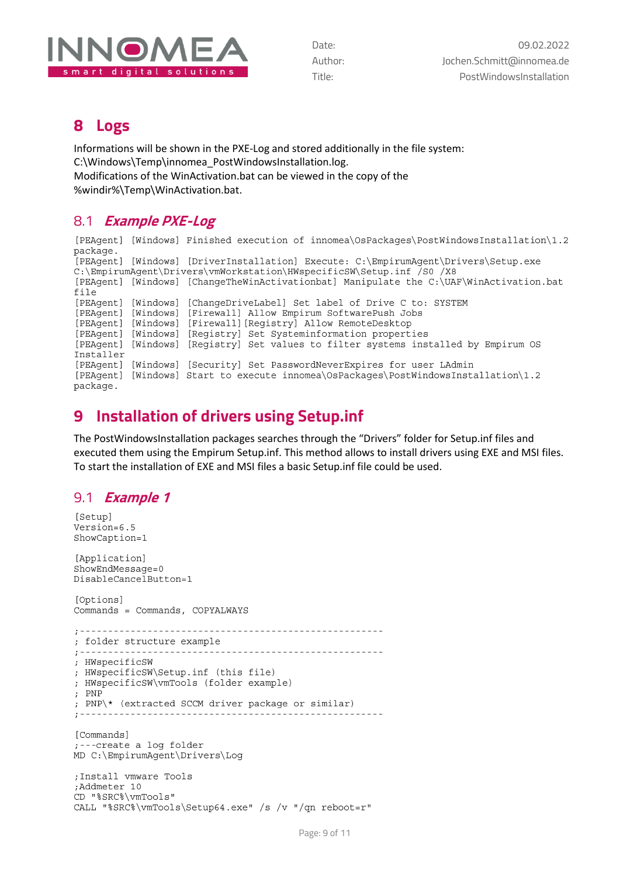

#### <span id="page-8-0"></span>**8 Logs**

Informations will be shown in the PXE-Log and stored additionally in the file system: C:\Windows\Temp\innomea\_PostWindowsInstallation.log. Modifications of the WinActivation.bat can be viewed in the copy of the %windir%\Temp\WinActivation.bat.

#### <span id="page-8-1"></span>8.1 **Example PXE-Log**

```
[PEAgent] [Windows] Finished execution of innomea\OsPackages\PostWindowsInstallation\1.2
package.
[PEAgent] [Windows] [DriverInstallation] Execute: C:\EmpirumAgent\Drivers\Setup.exe
C:\EmpirumAgent\Drivers\vmWorkstation\HWspecificSW\Setup.inf /S0 /X8
[PEAgent] [Windows] [ChangeTheWinActivationbat] Manipulate the C:\UAF\WinActivation.bat
file
[PEAgent] [Windows] [ChangeDriveLabel] Set label of Drive C to: SYSTEM
[PEAgent] [Windows] [Firewall] Allow Empirum SoftwarePush Jobs
[PEAgent] [Windows] [Firewall] [Registry] Allow RemoteDesktop
[PEAgent] [Windows] [Registry] Set Systeminformation properties<br>[PEAgent] [Windows] [Registry] Set values to filter systems installed by Empirum OS
Installer
[PEAgent] [Windows] [Security] Set PasswordNeverExpires for user LAdmin
[PEAgent] [Windows] Start to execute innomea\OsPackages\PostWindowsInstallation\1.2
package.
```
## <span id="page-8-2"></span>**9 Installation of drivers using Setup.inf**

The PostWindowsInstallation packages searches through the "Drivers" folder for Setup.inf files and executed them using the Empirum Setup.inf. This method allows to install drivers using EXE and MSI files. To start the installation of EXE and MSI files a basic Setup.inf file could be used.

#### <span id="page-8-3"></span>9.1 **Example <sup>1</sup>**

```
[Setup]
Version=6.5
ShowCaption=1
[Application]
ShowEndMessage=0
DisableCancelButton=1
[Options]
Commands = Commands, COPYALWAYS
; folder structure example
; HWspecificSW
; HWspecificSW\Setup.inf (this file)
; HWspecificSW\vmTools (folder example)
; PNP
; PNP\* (extracted SCCM driver package or similar)
; -------------------------------
[Commands]
;---create a log folder
MD C:\EmpirumAgent\Drivers\Log
; Install vmware Tools
;Addmeter 10
CD "%SRC%\vmTools"
CALL "%SRC%\vmTools\Setup64.exe" /s /v "/qn reboot=r"
```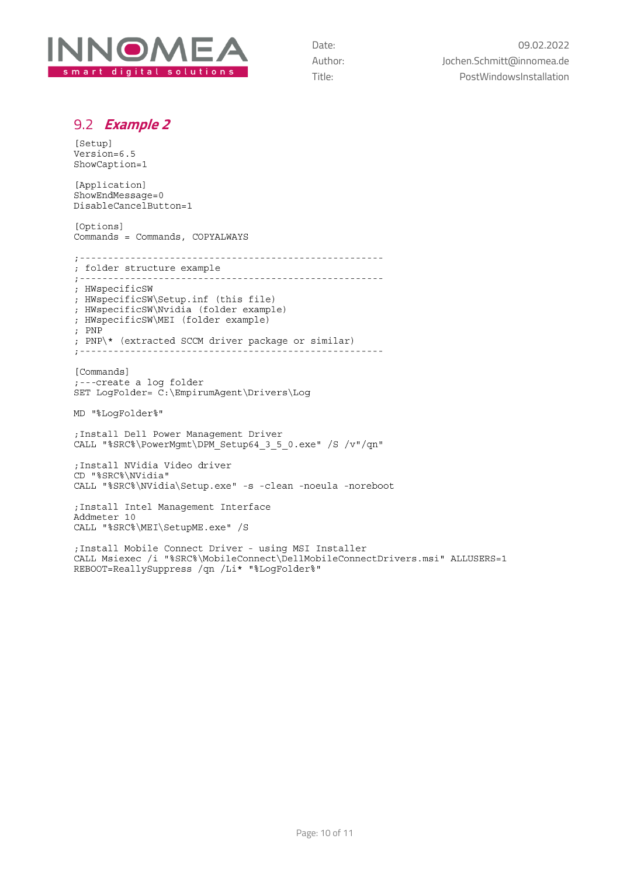

#### <span id="page-9-0"></span>9.2 **Example <sup>2</sup>**

[Setup] Version=6.5 ShowCaption=1

[Application] ShowEndMessage=0 DisableCancelButton=1

[Options] Commands = Commands, COPYALWAYS 

; folder structure example ; HWspecificSW ; HWspecificSW\Setup.inf (this file)

; HWspecificSW\Nvidia (folder example) ; HWspecificSW\MEI (folder example) ; PNP ; PNP\\* (extracted SCCM driver package or similar)  $+ - - - - - - - - -$ -------------------

[Commands] ;---create a log folder SET LogFolder= C:\EmpirumAgent\Drivers\Log

MD "%LogFolder%"

; Install Dell Power Management Driver CALL "%SRC%\PowerMgmt\DPM Setup64 3 5 0.exe" /S /v"/qn"

; Install NVidia Video driver CD "%SRC%\NVidia" CALL "%SRC%\NVidia\Setup.exe" -s -clean -noeula -noreboot

; Install Intel Management Interface Addmeter 10 CALL "%SRC%\MEI\SetupME.exe" /S

; Install Mobile Connect Driver - using MSI Installer CALL Msiexec /i "%SRC%\MobileConnect\DellMobileConnectDrivers.msi" ALLUSERS=1 REBOOT=ReallySuppress /qn /Li\* "%LogFolder%"